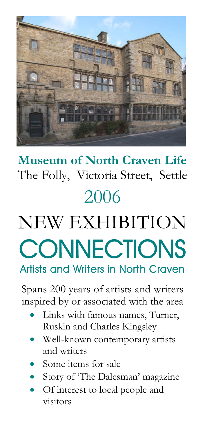

# **Museum of North Craven Life** The Folly, Victoria Street, Settle 2006

# NEW EXHIBITION **CONNECTIONS Artists and Writers in North Craven**

Spans 200 years of artists and writers inspired by or associated with the area

- Links with famous names, Turner, Ruskin and Charles Kingsley
- Well-known contemporary artists and writers
- Some items for sale
- Story of 'The Dalesman'magazine
- Of interest to local people and visitors